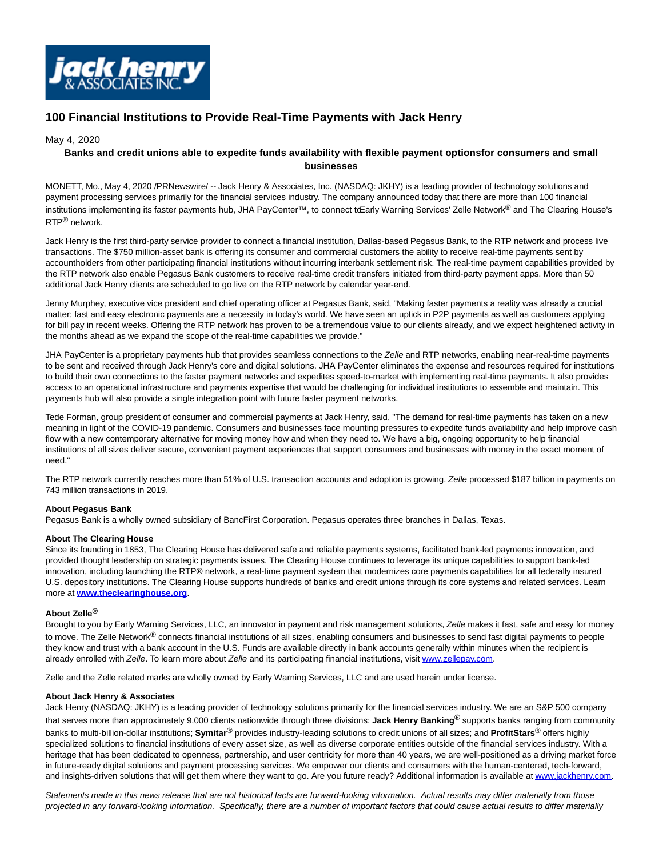

# **100 Financial Institutions to Provide Real-Time Payments with Jack Henry**

## May 4, 2020

# **Banks and credit unions able to expedite funds availability with flexible payment optionsfor consumers and small businesses**

MONETT, Mo., May 4, 2020 /PRNewswire/ -- Jack Henry & Associates, Inc. (NASDAQ: JKHY) is a leading provider of technology solutions and payment processing services primarily for the financial services industry. The company announced today that there are more than 100 financial institutions implementing its faster payments hub, JHA PayCenter™, to connect to Early Warning Services' Zelle Network<sup>®</sup> and The Clearing House's RTP® network.

Jack Henry is the first third-party service provider to connect a financial institution, Dallas-based Pegasus Bank, to the RTP network and process live transactions. The \$750 million-asset bank is offering its consumer and commercial customers the ability to receive real-time payments sent by accountholders from other participating financial institutions without incurring interbank settlement risk. The real-time payment capabilities provided by the RTP network also enable Pegasus Bank customers to receive real-time credit transfers initiated from third-party payment apps. More than 50 additional Jack Henry clients are scheduled to go live on the RTP network by calendar year-end.

Jenny Murphey, executive vice president and chief operating officer at Pegasus Bank, said, "Making faster payments a reality was already a crucial matter; fast and easy electronic payments are a necessity in today's world. We have seen an uptick in P2P payments as well as customers applying for bill pay in recent weeks. Offering the RTP network has proven to be a tremendous value to our clients already, and we expect heightened activity in the months ahead as we expand the scope of the real-time capabilities we provide."

JHA PayCenter is a proprietary payments hub that provides seamless connections to the Zelle and RTP networks, enabling near-real-time payments to be sent and received through Jack Henry's core and digital solutions. JHA PayCenter eliminates the expense and resources required for institutions to build their own connections to the faster payment networks and expedites speed-to-market with implementing real-time payments. It also provides access to an operational infrastructure and payments expertise that would be challenging for individual institutions to assemble and maintain. This payments hub will also provide a single integration point with future faster payment networks.

Tede Forman, group president of consumer and commercial payments at Jack Henry, said, "The demand for real-time payments has taken on a new meaning in light of the COVID-19 pandemic. Consumers and businesses face mounting pressures to expedite funds availability and help improve cash flow with a new contemporary alternative for moving money how and when they need to. We have a big, ongoing opportunity to help financial institutions of all sizes deliver secure, convenient payment experiences that support consumers and businesses with money in the exact moment of need."

The RTP network currently reaches more than 51% of U.S. transaction accounts and adoption is growing. Zelle processed \$187 billion in payments on 743 million transactions in 2019.

#### **About Pegasus Bank**

Pegasus Bank is a wholly owned subsidiary of BancFirst Corporation. Pegasus operates three branches in Dallas, Texas.

#### **About The Clearing House**

Since its founding in 1853, The Clearing House has delivered safe and reliable payments systems, facilitated bank-led payments innovation, and provided thought leadership on strategic payments issues. The Clearing House continues to leverage its unique capabilities to support bank-led innovation, including launching the RTP® network, a real-time payment system that modernizes core payments capabilities for all federally insured U.S. depository institutions. The Clearing House supports hundreds of banks and credit unions through its core systems and related services. Learn more at **[www.theclearinghouse.org](https://c212.net/c/link/?t=0&l=en&o=2792829-1&h=3935721975&u=https%3A%2F%2Fwww.theclearinghouse.org%2F&a=www.theclearinghouse.org)**.

## **About Zelle®**

Brought to you by Early Warning Services, LLC, an innovator in payment and risk management solutions, Zelle makes it fast, safe and easy for money to move. The Zelle Network<sup>®</sup> connects financial institutions of all sizes, enabling consumers and businesses to send fast digital payments to people they know and trust with a bank account in the U.S. Funds are available directly in bank accounts generally within minutes when the recipient is already enrolled with Zelle. To learn more about Zelle and its participating financial institutions, visit [www.zellepay.com.](https://c212.net/c/link/?t=0&l=en&o=2792829-1&h=1442906900&u=http%3A%2F%2Fwww.zellepay.com%2F&a=www.zellepay.com)

Zelle and the Zelle related marks are wholly owned by Early Warning Services, LLC and are used herein under license.

#### **About Jack Henry & Associates**

Jack Henry (NASDAQ: JKHY) is a leading provider of technology solutions primarily for the financial services industry. We are an S&P 500 company that serves more than approximately 9,000 clients nationwide through three divisions: **Jack Henry Banking**® supports banks ranging from community banks to multi-billion-dollar institutions; **Symitar**® provides industry-leading solutions to credit unions of all sizes; and **ProfitStars**® offers highly specialized solutions to financial institutions of every asset size, as well as diverse corporate entities outside of the financial services industry. With a heritage that has been dedicated to openness, partnership, and user centricity for more than 40 years, we are well-positioned as a driving market force in future-ready digital solutions and payment processing services. We empower our clients and consumers with the human-centered, tech-forward, and insights-driven solutions that will get them where they want to go. Are you future ready? Additional information is available a[t www.jackhenry.com.](https://c212.net/c/link/?t=0&l=en&o=2792829-1&h=679193500&u=http%3A%2F%2Fwww.jackhenry.com%2F&a=www.jackhenry.com)

Statements made in this news release that are not historical facts are forward-looking information. Actual results may differ materially from those projected in any forward-looking information. Specifically, there are a number of important factors that could cause actual results to differ materially